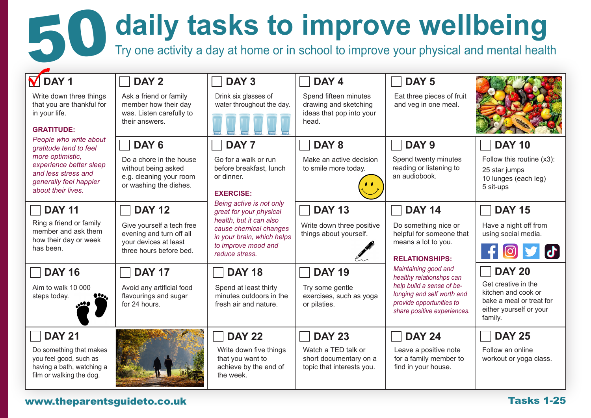# **50 daily tasks to improve wellbeing**<br>Try one activity a day at home or in school to improve your physical and mental heal

Try one activity a day at home or in school to improve your physical and mental health

| $\overline{M}$ DAY 1<br>Write down three things<br>that you are thankful for<br>in your life.<br><b>GRATITUDE:</b><br>People who write about<br>gratitude tend to feel<br>more optimistic,<br>experience better sleep<br>and less stress and<br>generally feel happier<br>about their lives. | DAY <sub>2</sub><br>Ask a friend or family<br>member how their day<br>was. Listen carefully to<br>their answers.           | DAY <sub>3</sub><br>Drink six glasses of<br>water throughout the day.                                                                                                           | DAY <sub>4</sub><br>Spend fifteen minutes<br>drawing and sketching<br>ideas that pop into your<br>head. | DAY <sub>5</sub><br>Eat three pieces of fruit<br>and veg in one meal.                                                                                                  |                                                                                                                               |
|----------------------------------------------------------------------------------------------------------------------------------------------------------------------------------------------------------------------------------------------------------------------------------------------|----------------------------------------------------------------------------------------------------------------------------|---------------------------------------------------------------------------------------------------------------------------------------------------------------------------------|---------------------------------------------------------------------------------------------------------|------------------------------------------------------------------------------------------------------------------------------------------------------------------------|-------------------------------------------------------------------------------------------------------------------------------|
|                                                                                                                                                                                                                                                                                              | DAY <sub>6</sub><br>Do a chore in the house<br>without being asked<br>e.g. cleaning your room<br>or washing the dishes.    | DAY <sub>7</sub><br>Go for a walk or run<br>before breakfast, lunch<br>or dinner.<br><b>EXERCISE:</b>                                                                           | DAY <sub>8</sub><br>Make an active decision<br>to smile more today.                                     | DAY <sub>9</sub><br>Spend twenty minutes<br>reading or listening to<br>an audiobook.                                                                                   | <b>DAY 10</b><br>Follow this routine (x3):<br>25 star jumps<br>10 lunges (each leg)<br>5 sit-ups                              |
| <b>DAY 11</b><br>Ring a friend or family<br>member and ask them<br>how their day or week<br>has been.                                                                                                                                                                                        | <b>DAY 12</b><br>Give yourself a tech free<br>evening and turn off all<br>your devices at least<br>three hours before bed. | Being active is not only<br>great for your physical<br>health, but it can also<br>cause chemical changes<br>in your brain, which helps<br>to improve mood and<br>reduce stress. | <b>DAY 13</b><br>Write down three positive<br>things about yourself.                                    | <b>DAY 14</b><br>Do something nice or<br>helpful for someone that<br>means a lot to you.<br><b>RELATIONSHIPS:</b>                                                      | <b>DAY 15</b><br>Have a night off from<br>using social media.                                                                 |
| <b>DAY 16</b><br>Aim to walk 10 000<br>steps today.                                                                                                                                                                                                                                          | <b>DAY 17</b><br>Avoid any artificial food<br>flavourings and sugar<br>for 24 hours.                                       | <b>DAY 18</b><br>Spend at least thirty<br>minutes outdoors in the<br>fresh air and nature.                                                                                      | <b>DAY 19</b><br>Try some gentle<br>exercises, such as yoga<br>or pilaties.                             | Maintaining good and<br>healthy relationshps can<br>help build a sense of be-<br>longing and self worth and<br>provide opportunities to<br>share positive experiences. | <b>DAY 20</b><br>Get creative in the<br>kitchen and cook or<br>bake a meal or treat for<br>either yourself or your<br>family. |
| <b>DAY 21</b><br>Do something that makes<br>you feel good, such as<br>having a bath, watching a<br>film or walking the dog.                                                                                                                                                                  |                                                                                                                            | <b>DAY 22</b><br>Write down five things<br>that you want to<br>achieve by the end of<br>the week.                                                                               | <b>DAY 23</b><br>Watch a TED talk or<br>short documentary on a<br>topic that interests you.             | <b>DAY 24</b><br>Leave a positive note<br>for a family member to<br>find in your house.                                                                                | <b>DAY 25</b><br>Follow an online<br>workout or yoga class.                                                                   |

## www.theparentsguideto.co.uk